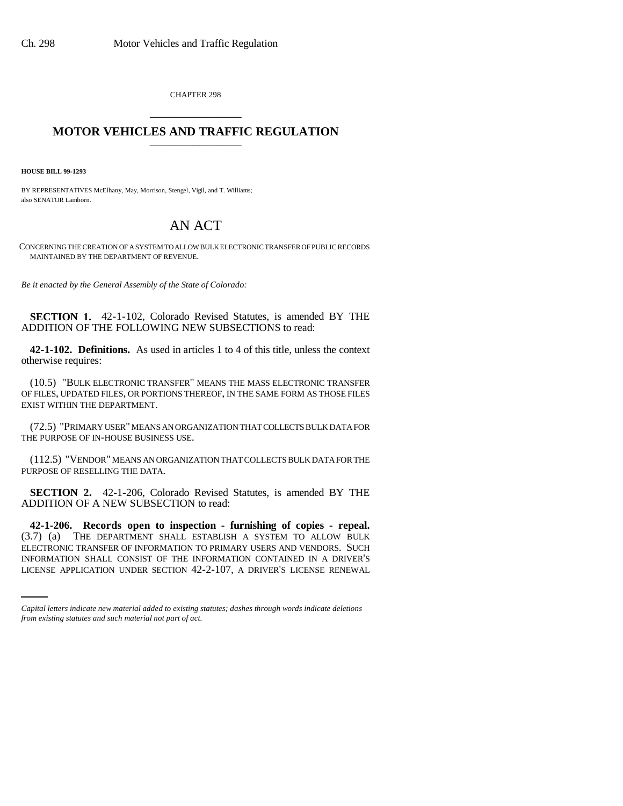CHAPTER 298 \_\_\_\_\_\_\_\_\_\_\_\_\_\_\_

## **MOTOR VEHICLES AND TRAFFIC REGULATION** \_\_\_\_\_\_\_\_\_\_\_\_\_\_\_

**HOUSE BILL 99-1293**

BY REPRESENTATIVES McElhany, May, Morrison, Stengel, Vigil, and T. Williams; also SENATOR Lamborn.

## AN ACT

CONCERNING THE CREATION OF A SYSTEM TO ALLOW BULK ELECTRONIC TRANSFER OF PUBLIC RECORDS MAINTAINED BY THE DEPARTMENT OF REVENUE.

*Be it enacted by the General Assembly of the State of Colorado:*

**SECTION 1.** 42-1-102, Colorado Revised Statutes, is amended BY THE ADDITION OF THE FOLLOWING NEW SUBSECTIONS to read:

**42-1-102. Definitions.** As used in articles 1 to 4 of this title, unless the context otherwise requires:

(10.5) "BULK ELECTRONIC TRANSFER" MEANS THE MASS ELECTRONIC TRANSFER OF FILES, UPDATED FILES, OR PORTIONS THEREOF, IN THE SAME FORM AS THOSE FILES EXIST WITHIN THE DEPARTMENT.

(72.5) "PRIMARY USER" MEANS AN ORGANIZATION THAT COLLECTS BULK DATA FOR THE PURPOSE OF IN-HOUSE BUSINESS USE.

(112.5) "VENDOR" MEANS AN ORGANIZATION THAT COLLECTS BULK DATA FOR THE PURPOSE OF RESELLING THE DATA.

**SECTION 2.** 42-1-206, Colorado Revised Statutes, is amended BY THE ADDITION OF A NEW SUBSECTION to read:

ELECTRONIC TRANSFER OF INFORMATION TO PRIMARY USERS AND VENDORS. SUCH **42-1-206. Records open to inspection - furnishing of copies - repeal.**<br>(3.7) (a) THE DEPARTMENT SHALL ESTABLISH A SYSTEM TO ALLOW BULK THE DEPARTMENT SHALL ESTABLISH A SYSTEM TO ALLOW BULK INFORMATION SHALL CONSIST OF THE INFORMATION CONTAINED IN A DRIVER'S LICENSE APPLICATION UNDER SECTION 42-2-107, A DRIVER'S LICENSE RENEWAL

*Capital letters indicate new material added to existing statutes; dashes through words indicate deletions from existing statutes and such material not part of act.*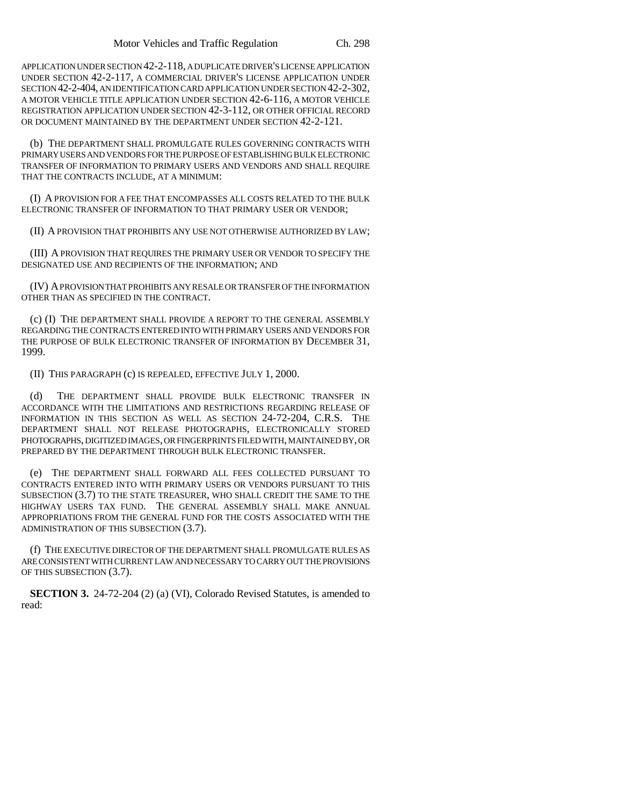APPLICATION UNDER SECTION 42-2-118, A DUPLICATE DRIVER'S LICENSE APPLICATION UNDER SECTION 42-2-117, A COMMERCIAL DRIVER'S LICENSE APPLICATION UNDER SECTION 42-2-404, AN IDENTIFICATION CARD APPLICATION UNDER SECTION 42-2-302, A MOTOR VEHICLE TITLE APPLICATION UNDER SECTION 42-6-116, A MOTOR VEHICLE REGISTRATION APPLICATION UNDER SECTION 42-3-112, OR OTHER OFFICIAL RECORD OR DOCUMENT MAINTAINED BY THE DEPARTMENT UNDER SECTION 42-2-121.

(b) THE DEPARTMENT SHALL PROMULGATE RULES GOVERNING CONTRACTS WITH PRIMARY USERS AND VENDORS FOR THE PURPOSE OF ESTABLISHING BULK ELECTRONIC TRANSFER OF INFORMATION TO PRIMARY USERS AND VENDORS AND SHALL REQUIRE THAT THE CONTRACTS INCLUDE, AT A MINIMUM:

(I) A PROVISION FOR A FEE THAT ENCOMPASSES ALL COSTS RELATED TO THE BULK ELECTRONIC TRANSFER OF INFORMATION TO THAT PRIMARY USER OR VENDOR;

(II) A PROVISION THAT PROHIBITS ANY USE NOT OTHERWISE AUTHORIZED BY LAW;

(III) A PROVISION THAT REQUIRES THE PRIMARY USER OR VENDOR TO SPECIFY THE DESIGNATED USE AND RECIPIENTS OF THE INFORMATION; AND

(IV) A PROVISION THAT PROHIBITS ANY RESALE OR TRANSFER OF THE INFORMATION OTHER THAN AS SPECIFIED IN THE CONTRACT.

(c) (I) THE DEPARTMENT SHALL PROVIDE A REPORT TO THE GENERAL ASSEMBLY REGARDING THE CONTRACTS ENTERED INTO WITH PRIMARY USERS AND VENDORS FOR THE PURPOSE OF BULK ELECTRONIC TRANSFER OF INFORMATION BY DECEMBER 31, 1999.

(II) THIS PARAGRAPH (c) IS REPEALED, EFFECTIVE JULY 1, 2000.

(d) THE DEPARTMENT SHALL PROVIDE BULK ELECTRONIC TRANSFER IN ACCORDANCE WITH THE LIMITATIONS AND RESTRICTIONS REGARDING RELEASE OF INFORMATION IN THIS SECTION AS WELL AS SECTION 24-72-204, C.R.S. THE DEPARTMENT SHALL NOT RELEASE PHOTOGRAPHS, ELECTRONICALLY STORED PHOTOGRAPHS, DIGITIZED IMAGES, OR FINGERPRINTS FILED WITH, MAINTAINED BY, OR PREPARED BY THE DEPARTMENT THROUGH BULK ELECTRONIC TRANSFER.

(e) THE DEPARTMENT SHALL FORWARD ALL FEES COLLECTED PURSUANT TO CONTRACTS ENTERED INTO WITH PRIMARY USERS OR VENDORS PURSUANT TO THIS SUBSECTION (3.7) TO THE STATE TREASURER, WHO SHALL CREDIT THE SAME TO THE HIGHWAY USERS TAX FUND. THE GENERAL ASSEMBLY SHALL MAKE ANNUAL APPROPRIATIONS FROM THE GENERAL FUND FOR THE COSTS ASSOCIATED WITH THE ADMINISTRATION OF THIS SUBSECTION (3.7).

(f) THE EXECUTIVE DIRECTOR OF THE DEPARTMENT SHALL PROMULGATE RULES AS ARE CONSISTENT WITH CURRENT LAW AND NECESSARY TO CARRY OUT THE PROVISIONS OF THIS SUBSECTION (3.7).

**SECTION 3.** 24-72-204 (2) (a) (VI), Colorado Revised Statutes, is amended to read: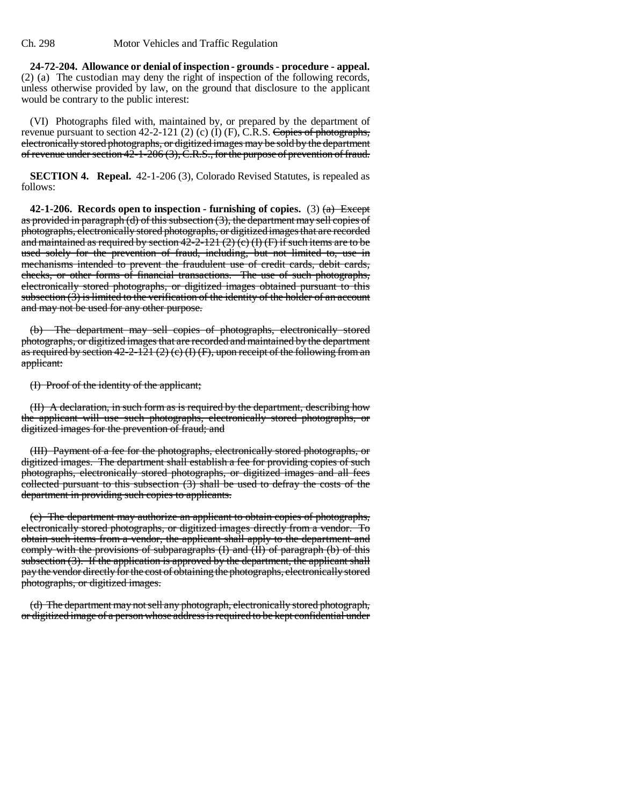**24-72-204. Allowance or denial of inspection - grounds - procedure - appeal.** (2) (a) The custodian may deny the right of inspection of the following records, unless otherwise provided by law, on the ground that disclosure to the applicant would be contrary to the public interest:

(VI) Photographs filed with, maintained by, or prepared by the department of revenue pursuant to section 42-2-121 (2) (c) (I) (F), C.R.S. Copies of photographs, electronically stored photographs, or digitized images may be sold by the department of revenue under section 42-1-206 (3), C.R.S., for the purpose of prevention of fraud.

**SECTION 4. Repeal.** 42-1-206 (3), Colorado Revised Statutes, is repealed as follows:

**42-1-206.** Records open to inspection - furnishing of copies.  $(3)$   $(a)$  Except as provided in paragraph (d) of this subsection  $(3)$ , the department may sell copies of photographs, electronically stored photographs, or digitized images that are recorded and maintained as required by section  $42-2-121(2)(e)$  (I) (F) if such items are to be used solely for the prevention of fraud, including, but not limited to, use in mechanisms intended to prevent the fraudulent use of credit cards, debit cards, checks, or other forms of financial transactions. The use of such photographs, electronically stored photographs, or digitized images obtained pursuant to this subsection  $(3)$  is limited to the verification of the identity of the holder of an account and may not be used for any other purpose.

(b) The department may sell copies of photographs, electronically stored photographs, or digitized images that are recorded and maintained by the department as required by section  $42-2-121(2)(c)(f)(F)$ , upon receipt of the following from an applicant:

(I) Proof of the identity of the applicant;

(II) A declaration, in such form as is required by the department, describing how the applicant will use such photographs, electronically stored photographs, or digitized images for the prevention of fraud; and

(III) Payment of a fee for the photographs, electronically stored photographs, or digitized images. The department shall establish a fee for providing copies of such photographs, electronically stored photographs, or digitized images and all fees collected pursuant to this subsection (3) shall be used to defray the costs of the department in providing such copies to applicants.

(c) The department may authorize an applicant to obtain copies of photographs, electronically stored photographs, or digitized images directly from a vendor. To obtain such items from a vendor, the applicant shall apply to the department and comply with the provisions of subparagraphs  $(I)$  and  $(II)$  of paragraph  $(b)$  of this subsection (3). If the application is approved by the department, the applicant shall pay the vendor directly for the cost of obtaining the photographs, electronically stored photographs, or digitized images.

(d) The department may not sell any photograph, electronically stored photograph, or digitized image of a person whose address is required to be kept confidential under